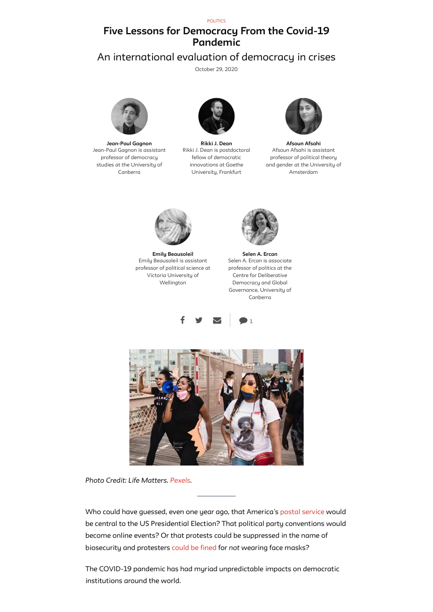[POLITICS](https://publicseminar.org/category/politics/)

## **Five Lessons for Democracy From the Covid-19 Pandemic**

# An international evaluation of democracy in crises

[October](https://publicseminar.org/essays/five-lessons-for-democracy-from-the-covid-19-pandemic/) 29, 2020



**[Jean-Paul](https://publicseminar.org/author/jgagnon/) Gagnon** Jean-Paul Gagnon is assistant professor of democracy studies at the University of Canberra



**Rikki J. [Dean](https://publicseminar.org/author/rdean/)** Rikki J. Dean is postdoctoral fellow of democratic innovations at Goethe University, Frankfurt



**[Afsoun](https://publicseminar.org/author/aafsahi/) Afsahi** Afsoun Afsahi is assistant professor of political theory and gender at the University of Amsterdam



**Emily [Beausoleil](https://publicseminar.org/author/ebeausoleil/)** Emily Beausoleil is assistant professor of political science at Victoria University of Wellington



**Selen A. [Ercan](https://publicseminar.org/author/sercan/)** Selen A. Ercan is associate professor of politics at the Centre for Deliberative Democracy and Global Governance, University of Canberra







*Photo Credit: Life Matters. [Pexels](https://www.pexels.com/photo/women-at-a-protest-4613878/).*

Who could have guessed, even one year ago, that America's postal [service](https://www.bbc.com/news/election-us-2020-53782331) would be central to the US Presidential Election? That political party conventions would become online events? Or that protests could be suppressed in the name of biosecurity and protesters [could](https://www.news.com.au/world/coronavirus/global/coronavirus-antimask-protests-held-across-the-world/news-story/2d2513d5b503050c8a0a25e7e6d48e30) be fined for *not* wearing face masks?

The COVID-19 pandemic has had myriad unpredictable impacts on democratic institutions around the world.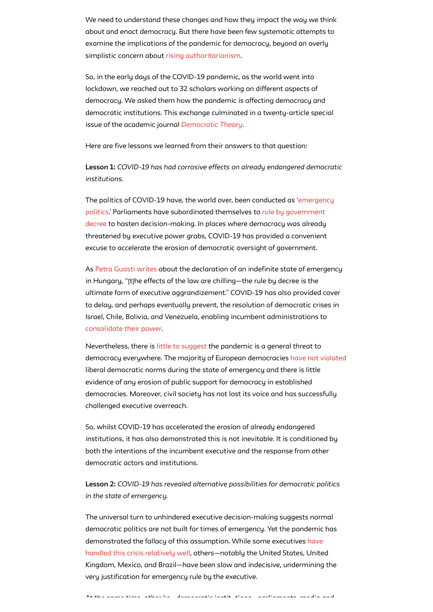We need to understand these changes and how they impact the way we think about and enact democracy. But there have been few systematic attempts to examine the implications of the pandemic for democracy, beyond an overly simplistic concern about rising [authoritarianism](https://www.pbs.org/newshour/show/how-authoritarianism-has-spread-since-the-coronavirus-pandemic-began).

So, in the early days of the COVID-19 pandemic, as the world went into lockdown, we reached out to 32 scholars working on different aspects of democracy. We asked them how the pandemic is affecting democracy and democratic institutions. This exchange culminated in a twenty-article special issue of the academic journal *[Democratic](https://www.berghahnjournals.com/view/journals/democratic-theory/7/2/democratic-theory.7.issue-2.xml) Theory*.

Here are five lessons we learned from their answers to that question:

**Lesson 1:** *COVID-19 has had corrosive effects on already endangered democratic institutions.*

As Petra [Guasti](https://www.berghahnjournals.com/view/journals/democratic-theory/7/2/dt070207.xml) writes about the declaration of an indefinite state of emergency in Hungary, "[t]he effects of the law are chilling—the rule by decree is the ultimate form of executive aggrandizement. " COVID-19 has also provided cover to delay, and perhaps eventually prevent, the resolution of democratic crises in Israel, Chile, Bolivia, and Venezuela, enabling incumbent administrations to [consolidate](https://www.berghahnjournals.com/view/journals/democratic-theory/7/2/dt070208.xml) their power.

The politics of [COVID-19 have,](https://www.berghahnjournals.com/view/journals/democratic-theory/7/2/dt070203.xml) the world over, been conducted as 'emergency politics. ' Parliaments have subordinated themselves to rule by government decree to hasten [decision-making.](https://www.berghahnjournals.com/view/journals/democratic-theory/7/2/dt070202.xml) In places where democracy was already threatened by executive power grabs, COVID-19 has provided a convenient excuse to accelerate the erosion of democratic oversight of government.

Nevertheless, there is little to [suggest](https://www.berghahnjournals.com/view/journals/democratic-theory/7/2/dt070205.xml) the pandemic is a general threat to democracy everywhere. The majority of European democracies have not [violated](https://www.berghahnjournals.com/view/journals/democratic-theory/7/2/dt070204.xml) liberal democratic norms during the state of emergency and there is little evidence of any erosion of public support for democracy in established democracies. Moreover, civil society has not lost its voice and has successfully challenged executive overreach.

So, whilst COVID-19 has accelerated the erosion of already endangered institutions, it has also demonstrated this is not inevitable. It is conditioned by both the intentions of the incumbent executive and the response from other

democratic actors and institutions.

**Lesson 2:** *COVID-19 has revealed alternative possibilities for democratic politics in the state of emergency.*

The universal turn to unhindered executive decision-making suggests normal democratic politics are not built for times of emergency. Yet the pandemic has demonstrated the fallacy of this assumption. While some executives have handled this crisis relatively well, [others—notably](https://www.berghahnjournals.com/view/journals/democratic-theory/7/2/dt070205.xml) the United States, United Kingdom, Mexico, and Brazil—have been slow and indecisive, undermining the very justification for emergency rule by the executive.

At the same time other ke democratic instit tions parliaments media and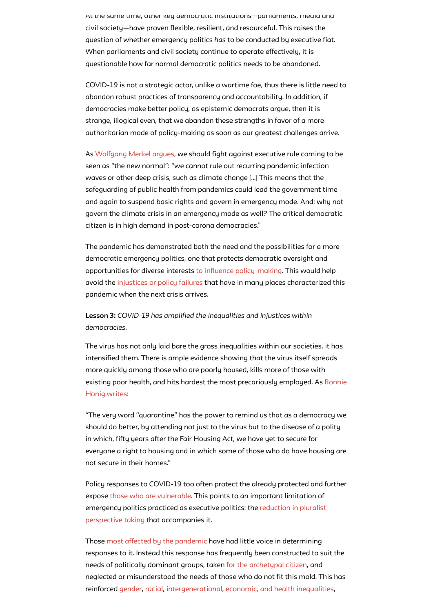At the same time, other key democratic institutions—parliaments, media and civil society—have proven flexible, resilient, and resourceful. This raises the question of whether emergency politics *has* to be conducted by executive fiat. When parliaments and civil society continue to operate effectively, it is questionable how far normal democratic politics needs to be abandoned.

COVID-19 is not a strategic actor, unlike a wartime foe, thus there is little need to abandon robust practices of transparency and accountability. In addition, if democracies make better policy, as epistemic democrats argue, then it is strange, illogical even, that we abandon these strengths in favor of a more authoritarian mode of policy-making as soon as our greatest challenges arrive.

As [Wolfgang](https://www.berghahnjournals.com/view/journals/democratic-theory/7/2/dt070202.xml) Merkel argues, we should fight against executive rule coming to be seen as "the new normal": "we cannot rule out recurring pandemic infection waves or other deep crisis, such as climate change […] This means that the safeguarding of public health from pandemics could lead the government time and again to suspend basic rights and govern in emergency mode. And: why not govern the climate crisis in an emergency mode as well? The critical democratic citizen is in high demand in post-corona democracies. "

The pandemic has demonstrated both the need and the possibilities for a more democratic emergency politics, one that protects democratic oversight and opportunities for diverse interests to influence [policy-making.](https://www.berghahnjournals.com/view/journals/democratic-theory/7/2/dt070213.xml) This would help avoid the [injustices](https://www.berghahnjournals.com/view/journals/democratic-theory/7/2/dt070220.xml) or policy failures that have in many places characterized this pandemic when the next crisis arrives.

**Lesson 3:** *COVID-19 has amplified the inequalities and injustices within democracies.*

The virus has not only laid bare the gross inequalities within our societies, it has intensified them. There is ample evidence showing that the virus itself spreads more quickly among those who are poorly housed, kills more of those with existing poor health, and hits hardest the most [precariously](https://www.berghahnjournals.com/view/journals/democratic-theory/7/2/dt070217.xml) employed. As Bonnie Honig writes:

"The very word "quarantine" has the power to remind us that as a democracy we should do better, by attending not just to the virus but to the disease of a polity in which, fifty years after the Fair Housing Act, we have yet to secure for everyone a right to housing and in which some of those who do have housing are

#### not secure in their homes. "

Policy responses to COVID-19 too often protect the already protected and further expose those who are [vulnerable.](https://www.berghahnjournals.com/view/journals/democratic-theory/7/2/dt070214.xml) This points to an important limitation of emergency politics practiced as executive politics: the reduction in pluralist perspective taking that [accompanies](https://www.berghahnjournals.com/view/journals/democratic-theory/7/2/dt070221.xml) it.

Those most affected by the [pandemic](https://www.berghahnjournals.com/view/journals/democratic-theory/7/2/dt070218.xml) have had little voice in determining responses to it. Instead this response has frequently been constructed to suit the needs of politically dominant groups, taken for the [archetypal](https://www.berghahnjournals.com/view/journals/democratic-theory/7/2/dt070219.xml) citizen, and neglected or misunderstood the needs of those who do not fit this mold. This has reinforced [gender](https://www.berghahnjournals.com/view/journals/democratic-theory/7/2/dt070212.xml), [racial](https://www.berghahnjournals.com/view/journals/democratic-theory/7/2/dt070211.xml/), [intergenerational,](https://www.berghahnjournals.com/view/journals/democratic-theory/7/2/dt070210.xml) economic, and health [inequalities](https://www.berghahnjournals.com/view/journals/democratic-theory/7/2/dt070201.xml),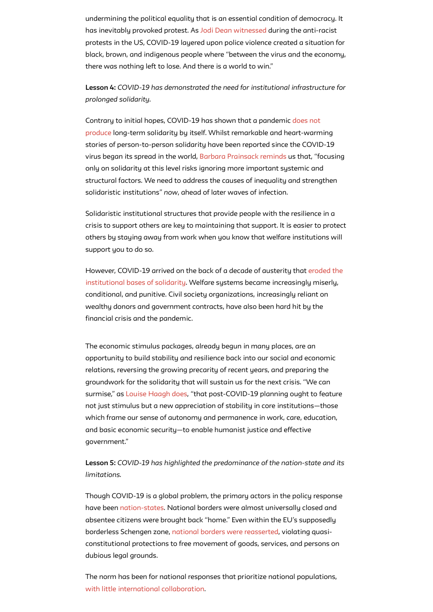undermining the political equality that is an essential condition of democracy. It has inevitably provoked protest. As Jodi Dean [witnessed](https://www.berghahnjournals.com/view/journals/democratic-theory/7/2/dt070206.xml) during the anti-racist protests in the US, COVID-19 layered upon police violence created a situation for black, brown, and indigenous people where "between the virus and the economy, there was nothing left to lose. And there is a world to win. "

**Lesson 4:** *COVID-19 has demonstrated the need for institutional infrastructure for prolonged solidarity.*

Solidaristic institutional structures that provide people with the resilience in a crisis to support others are key to maintaining that support. It is easier to protect others by staying away from work when you know that welfare institutions will support you to do so.

Contrary to initial hopes, [COVID-19 has](https://www.berghahnjournals.com/view/journals/democratic-theory/7/2/dt070215.xml) shown that a pandemic does not produce long-term solidarity by itself. Whilst remarkable and heart-warming stories of person-to-person solidarity have been reported since the COVID-19 virus began its spread in the world, Barbara [Prainsack](https://www.berghahnjournals.com/view/journals/democratic-theory/7/2/dt070215.xml) reminds us that, "focusing only on solidarity at this level risks ignoring more important systemic and structural factors. We need to address the causes of inequality and strengthen solidaristic institutions" *now*, ahead of later waves of infection.

However, [COVID-19 arrived](https://www.berghahnjournals.com/view/journals/democratic-theory/7/2/dt070216.xml) on the back of a decade of austerity that eroded the institutional bases of solidarity. Welfare systems became increasingly miserly, conditional, and punitive. Civil society organizations, increasingly reliant on wealthy donors and government contracts, have also been hard hit by the financial crisis and the pandemic.

The economic stimulus packages, already begun in many places, are an opportunity to build stability and resilience back into our social and economic relations, reversing the growing precarity of recent years, and preparing the groundwork for the solidarity that will sustain us for the next crisis. "We can surmise," as Louise [Haagh](https://www.berghahnjournals.com/view/journals/democratic-theory/7/2/dt070214.xml) does, "that post-COVID-19 planning ought to feature not just stimulus but a new appreciation of stability in core institutions—those which frame our sense of autonomy and permanence in work, care, education, and basic economic security—to enable humanist justice and effective government. "

**Lesson 5:** *COVID-19 has highlighted the predominance of the nation-state and its limitations.*

Though COVID-19 is a global problem, the primary actors in the policy response have been [nation-states](https://www.berghahnjournals.com/view/journals/democratic-theory/7/2/dt070218.xml). National borders were almost universally closed and absentee citizens were brought back "home. " Even within the EU's supposedly borderless Schengen zone, national borders were [reasserted](https://www.berghahnjournals.com/view/journals/democratic-theory/7/2/dt070219.xml), violating quasiconstitutional protections to free movement of goods, services, and persons on dubious legal grounds.

The norm has been for national responses that prioritize national populations, with little international [collaboration](https://www.cambridge.org/core/journals/nationalities-papers/article/global-nationalism-in-times-of-the-covid19-pandemic/3A7F44AFDD6AC117AE05160F95738ED4).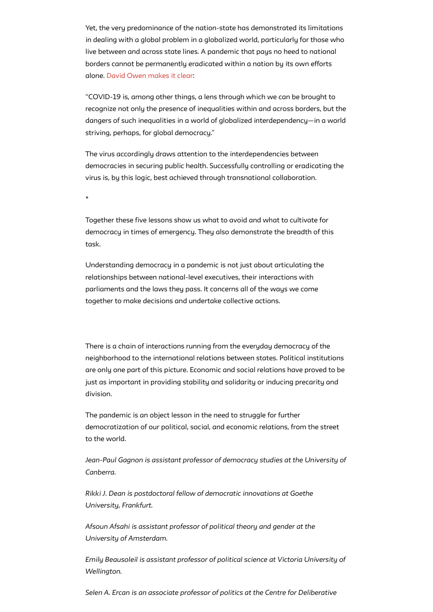Yet, the very predominance of the nation-state has demonstrated its limitations in dealing with a global problem in a globalized world, particularly for those who live between and across state lines. A pandemic that pays no heed to national borders cannot be permanently eradicated within a nation by its own efforts alone. David Owen [makes](https://www.berghahnjournals.com/view/journals/democratic-theory/7/2/dt070218.xml) it clear:

"COVID-19 is, among other things, a lens through which we can be brought to recognize not only the presence of inequalities within and across borders, but the dangers of such inequalities in a world of globalized interdependency—in a world striving, perhaps, for global democracy. "

The virus accordingly draws attention to the interdependencies between democracies in securing public health. Successfully controlling or eradicating the virus is, by this logic, best achieved through transnational collaboration.

\*

Together these five lessons show us what to avoid and what to cultivate for democracy in times of emergency. They also demonstrate the breadth of this task.

Understanding democracy in a pandemic is not just about articulating the relationships between national-level executives, their interactions with parliaments and the laws they pass. It concerns all of the ways we come together to make decisions and undertake collective actions.

There is a chain of interactions running from the everyday democracy of the neighborhood to the international relations between states. Political institutions are only one part of this picture. Economic and social relations have proved to be just as important in providing stability and solidarity or inducing precarity and division.

The pandemic is an object lesson in the need to struggle for further democratization of our political, social, and economic relations, from the street to the world.

*Jean-Paul Gagnon is assistant professor of democracy studies at the University of*

*Canberra.*

*Rikki J. Dean is postdoctoral fellow of democratic innovations at Goethe University, Frankfurt.*

*Afsoun Afsahi is assistant professor of political theory and gender at the University of Amsterdam.*

*Emily Beausoleil is assistant professor of political science at Victoria University of Wellington.*

*Selen A. Ercan is an associate professor of politics at the Centre for Deliberative*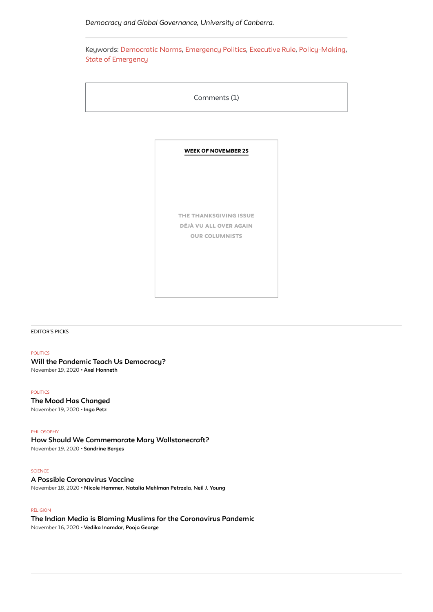[EDITOR'S](https://publicseminar.org/latest/) PICKS

#### [POLITICS](https://publicseminar.org/category/politics/)

**Will the Pandemic Teach Us [Democracy?](https://publicseminar.org/essays/will-the-pandemic-teach-us-democracy/)** [November](https://publicseminar.org/essays/will-the-pandemic-teach-us-democracy/) 19, 2020 • **Axel [Honneth](https://publicseminar.org/author/ahonneth/)**

[POLITICS](https://publicseminar.org/category/politics/) **The Mood Has [Changed](https://publicseminar.org/essays/the-mood-has-changed/)** [November](https://publicseminar.org/essays/the-mood-has-changed/) 19, 2020 • **[Ingo](https://publicseminar.org/author/ipetz/) Petz**

#### [PHILOSOPHY](https://publicseminar.org/category/philosophy/)

**How Should We Commemorate Mary [Wollstonecraft?](https://publicseminar.org/essays/how-should-we-commemorate-mary-wollstonecraft/)** [November](https://publicseminar.org/essays/how-should-we-commemorate-mary-wollstonecraft/) 19, 2020 • **[Sandrine](https://publicseminar.org/author/sberges/) Berges**

#### **[SCIENCE](https://publicseminar.org/category/science/)**

### **A Possible [Coronavirus](https://publicseminar.org/2020/11/a-possible-coronavirus-vaccine/) Vaccine**

[November](https://publicseminar.org/2020/11/a-possible-coronavirus-vaccine/) 18, 2020 • **Nicole [Hemmer](https://publicseminar.org/author/nhemmer/)**, **Natalia [Mehlman](https://publicseminar.org/author/npetrzela/) Petrzela**, **Neil J. [Young](https://publicseminar.org/author/nyoung/)**

#### [RELIGION](https://publicseminar.org/category/religion/)

## **The Indian Media is Blaming Muslims for the [Coronavirus](https://publicseminar.org/essays/the-indian-media-is-blaming-muslims-for-the-coronavirus-pandemic/) Pandemic**

[November](https://publicseminar.org/essays/the-indian-media-is-blaming-muslims-for-the-coronavirus-pandemic/) 16, 2020 • **Vedika [Inamdar](https://publicseminar.org/author/vinamdar/)**, **Pooja [George](https://publicseminar.org/author/pgeorge/)**



<span id="page-5-0"></span>Keywords: [Democratic](https://publicseminar.org/topics/democratic-norms/) Norms, [Emergency](https://publicseminar.org/topics/emergency-politics/) Politics, [Executive](https://publicseminar.org/topics/executive-rule/) Rule, [Policy-Making](https://publicseminar.org/topics/policy-making/), State of [Emergency](https://publicseminar.org/topics/state-of-emergency/)

| Comments (1) |  |
|--------------|--|
|--------------|--|